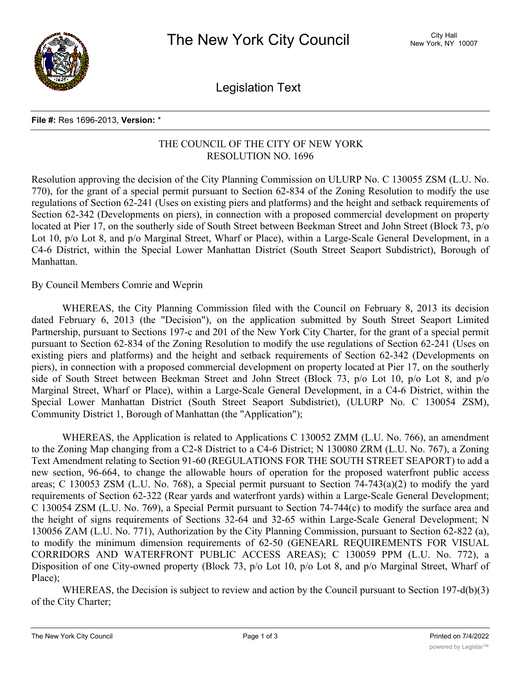

Legislation Text

## **File #:** Res 1696-2013, **Version:** \*

## THE COUNCIL OF THE CITY OF NEW YORK RESOLUTION NO. 1696

Resolution approving the decision of the City Planning Commission on ULURP No. C 130055 ZSM (L.U. No. 770), for the grant of a special permit pursuant to Section 62-834 of the Zoning Resolution to modify the use regulations of Section 62-241 (Uses on existing piers and platforms) and the height and setback requirements of Section 62-342 (Developments on piers), in connection with a proposed commercial development on property located at Pier 17, on the southerly side of South Street between Beekman Street and John Street (Block 73, p/o Lot 10, p/o Lot 8, and p/o Marginal Street, Wharf or Place), within a Large-Scale General Development, in a C4-6 District, within the Special Lower Manhattan District (South Street Seaport Subdistrict), Borough of Manhattan.

By Council Members Comrie and Weprin

WHEREAS, the City Planning Commission filed with the Council on February 8, 2013 its decision dated February 6, 2013 (the "Decision"), on the application submitted by South Street Seaport Limited Partnership, pursuant to Sections 197-c and 201 of the New York City Charter, for the grant of a special permit pursuant to Section 62-834 of the Zoning Resolution to modify the use regulations of Section 62-241 (Uses on existing piers and platforms) and the height and setback requirements of Section 62-342 (Developments on piers), in connection with a proposed commercial development on property located at Pier 17, on the southerly side of South Street between Beekman Street and John Street (Block 73, p/o Lot 10, p/o Lot 8, and p/o Marginal Street, Wharf or Place), within a Large-Scale General Development, in a C4-6 District, within the Special Lower Manhattan District (South Street Seaport Subdistrict), (ULURP No. C 130054 ZSM), Community District 1, Borough of Manhattan (the "Application");

WHEREAS, the Application is related to Applications C 130052 ZMM (L.U. No. 766), an amendment to the Zoning Map changing from a C2-8 District to a C4-6 District; N 130080 ZRM (L.U. No. 767), a Zoning Text Amendment relating to Section 91-60 (REGULATIONS FOR THE SOUTH STREET SEAPORT) to add a new section, 96-664, to change the allowable hours of operation for the proposed waterfront public access areas; C 130053 ZSM (L.U. No. 768), a Special permit pursuant to Section 74-743(a)(2) to modify the yard requirements of Section 62-322 (Rear yards and waterfront yards) within a Large-Scale General Development; C 130054 ZSM (L.U. No. 769), a Special Permit pursuant to Section 74-744(c) to modify the surface area and the height of signs requirements of Sections 32-64 and 32-65 within Large-Scale General Development; N 130056 ZAM (L.U. No. 771), Authorization by the City Planning Commission, pursuant to Section 62-822 (a), to modify the minimum dimension requirements of 62-50 (GENEARL REQUIREMENTS FOR VISUAL CORRIDORS AND WATERFRONT PUBLIC ACCESS AREAS); C 130059 PPM (L.U. No. 772), a Disposition of one City-owned property (Block 73, p/o Lot 10, p/o Lot 8, and p/o Marginal Street, Wharf of Place);

WHEREAS, the Decision is subject to review and action by the Council pursuant to Section 197-d(b)(3) of the City Charter;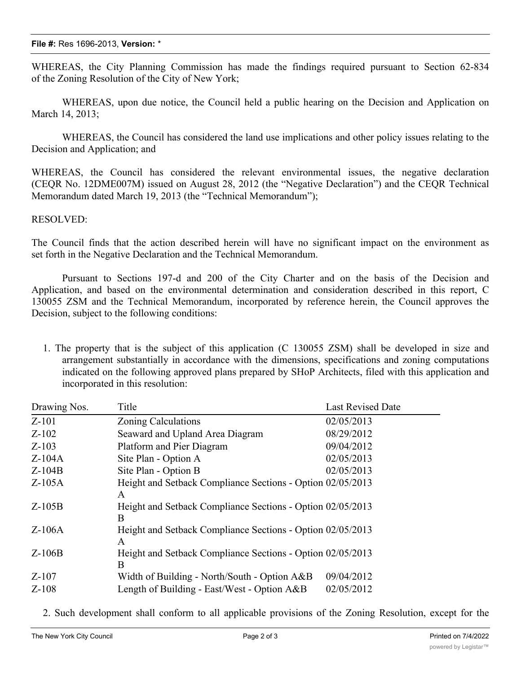WHEREAS, the City Planning Commission has made the findings required pursuant to Section 62-834 of the Zoning Resolution of the City of New York;

WHEREAS, upon due notice, the Council held a public hearing on the Decision and Application on March 14, 2013;

WHEREAS, the Council has considered the land use implications and other policy issues relating to the Decision and Application; and

WHEREAS, the Council has considered the relevant environmental issues, the negative declaration (CEQR No. 12DME007M) issued on August 28, 2012 (the "Negative Declaration") and the CEQR Technical Memorandum dated March 19, 2013 (the "Technical Memorandum");

## RESOLVED:

The Council finds that the action described herein will have no significant impact on the environment as set forth in the Negative Declaration and the Technical Memorandum.

Pursuant to Sections 197-d and 200 of the City Charter and on the basis of the Decision and Application, and based on the environmental determination and consideration described in this report, C 130055 ZSM and the Technical Memorandum, incorporated by reference herein, the Council approves the Decision, subject to the following conditions:

1. The property that is the subject of this application (C 130055 ZSM) shall be developed in size and arrangement substantially in accordance with the dimensions, specifications and zoning computations indicated on the following approved plans prepared by SHoP Architects, filed with this application and incorporated in this resolution:

| Drawing Nos. | Title                                                           | <b>Last Revised Date</b> |
|--------------|-----------------------------------------------------------------|--------------------------|
| $Z-101$      | <b>Zoning Calculations</b>                                      | 02/05/2013               |
| $Z-102$      | Seaward and Upland Area Diagram                                 | 08/29/2012               |
| $Z-103$      | Platform and Pier Diagram                                       | 09/04/2012               |
| $Z-104A$     | Site Plan - Option A                                            | 02/05/2013               |
| $Z-104B$     | Site Plan - Option B                                            | 02/05/2013               |
| $Z-105A$     | Height and Setback Compliance Sections - Option 02/05/2013<br>A |                          |
| $Z-105B$     | Height and Setback Compliance Sections - Option 02/05/2013<br>B |                          |
| $Z-106A$     | Height and Setback Compliance Sections - Option 02/05/2013<br>A |                          |
| $Z-106B$     | Height and Setback Compliance Sections - Option 02/05/2013<br>B |                          |
| $Z-107$      | Width of Building - North/South - Option A&B                    | 09/04/2012               |
| $Z-108$      | Length of Building - East/West - Option A&B                     | 02/05/2012               |

2. Such development shall conform to all applicable provisions of the Zoning Resolution, except for the

modifications specifically granted in this resolution and shown on the plans listed above which have